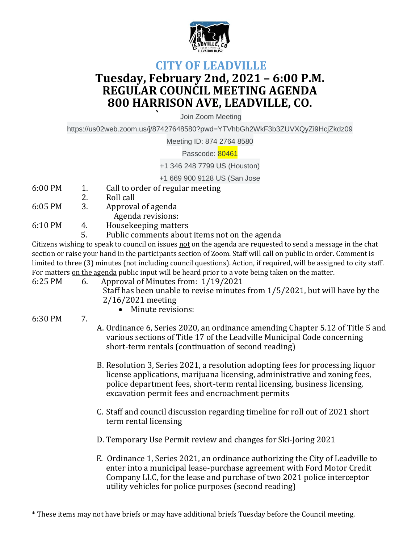

## **CITY OF LEADVILLE Tuesday, February 2nd, 2021 – 6:00 P.M. REGULAR COUNCIL MEETING AGENDA 800 HARRISON AVE, LEADVILLE, CO.**

**`** Join Zoom Meeting

https://us02web.zoom.us/j/87427648580?pwd=YTVhbGh2WkF3b3ZUVXQyZi9HcjZkdz09

Meeting ID: 874 2764 8580

Passcode: 80461

+1 346 248 7799 US (Houston)

+1 669 900 9128 US (San Jose

- 6:00 PM 1. Call to order of regular meeting
- 2. Roll call
- 6:05 PM 3. Approval of agenda Agenda revisions:
	-
- 6:10 PM 4. Housekeeping matters
	- 5. Public comments about items not on the agenda

Citizens wishing to speak to council on issues not on the agenda are requested to send a message in the chat section or raise your hand in the participants section of Zoom. Staff will call on public in order. Comment is limited to three (3) minutes (not including council questions). Action, if required, will be assigned to city staff. For matters on the agenda public input will be heard prior to a vote being taken on the matter.

- 6:25 PM 6. Approval of Minutes from: 1/19/2021
	- Staff has been unable to revise minutes from 1/5/2021, but will have by the 2/16/2021 meeting
		- Minute revisions:
- 6:30 PM 7.
- A. Ordinance 6, Series 2020, an ordinance amending Chapter 5.12 of Title 5 and various sections of Title 17 of the Leadville Municipal Code concerning short-term rentals (continuation of second reading)
- B. Resolution 3, Series 2021, a resolution adopting fees for processing liquor license applications, marijuana licensing, administrative and zoning fees, police department fees, short-term rental licensing, business licensing, excavation permit fees and encroachment permits
- C. Staff and council discussion regarding timeline for roll out of 2021 short term rental licensing
- D. Temporary Use Permit review and changes for Ski-Joring 2021
- E. Ordinance 1, Series 2021, an ordinance authorizing the City of Leadville to enter into a municipal lease-purchase agreement with Ford Motor Credit Company LLC, for the lease and purchase of two 2021 police interceptor utility vehicles for police purposes (second reading)

\* These items may not have briefs or may have additional briefs Tuesday before the Council meeting.